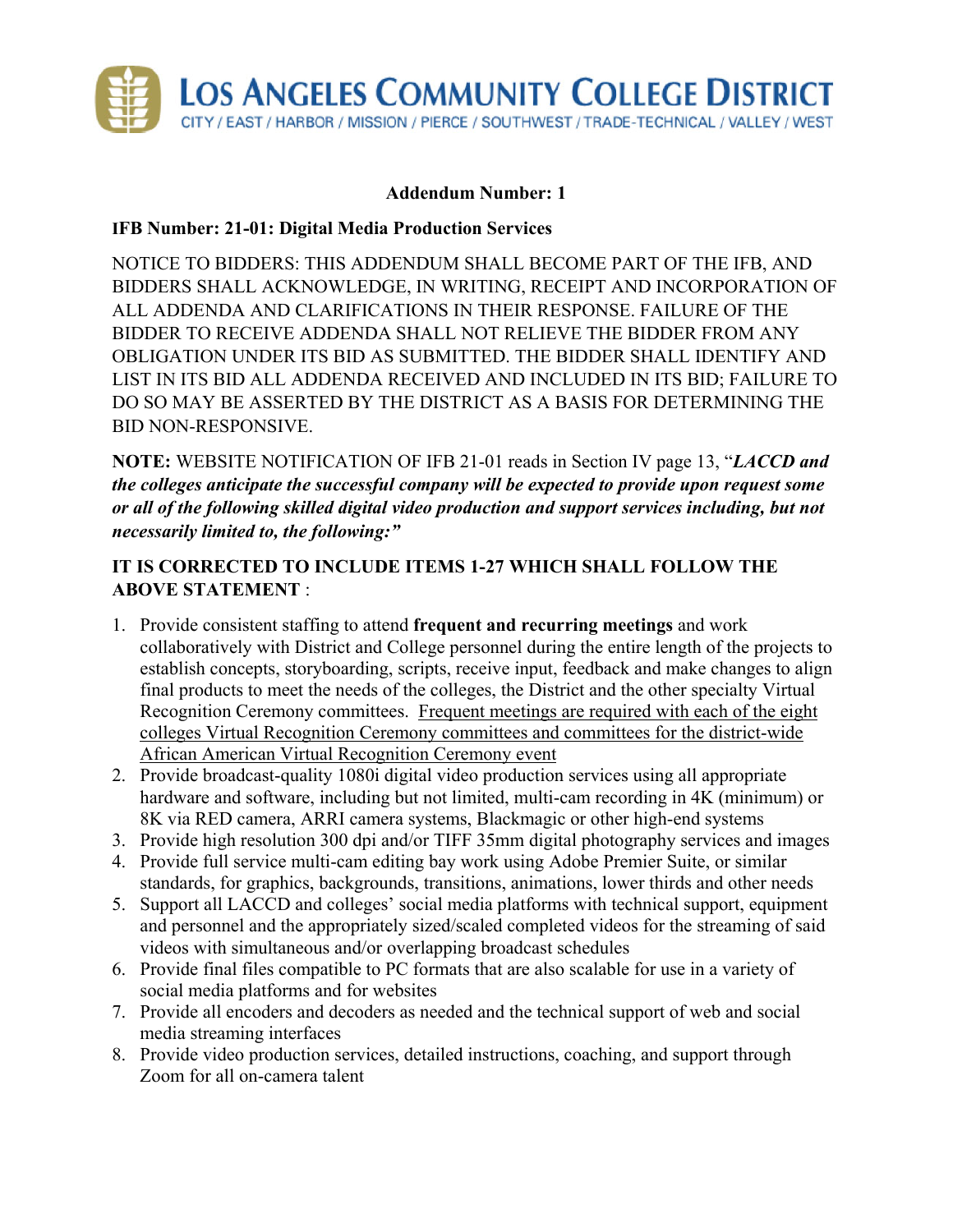

## **Addendum Number: 1**

## **IFB Number: 21-01: Digital Media Production Services**

NOTICE TO BIDDERS: THIS ADDENDUM SHALL BECOME PART OF THE IFB, AND BIDDERS SHALL ACKNOWLEDGE, IN WRITING, RECEIPT AND INCORPORATION OF ALL ADDENDA AND CLARIFICATIONS IN THEIR RESPONSE. FAILURE OF THE BIDDER TO RECEIVE ADDENDA SHALL NOT RELIEVE THE BIDDER FROM ANY OBLIGATION UNDER ITS BID AS SUBMITTED. THE BIDDER SHALL IDENTIFY AND LIST IN ITS BID ALL ADDENDA RECEIVED AND INCLUDED IN ITS BID; FAILURE TO DO SO MAY BE ASSERTED BY THE DISTRICT AS A BASIS FOR DETERMINING THE BID NON-RESPONSIVE.

**NOTE:** WEBSITE NOTIFICATION OF IFB 21-01 reads in Section IV page 13, "*LACCD and the colleges anticipate the successful company will be expected to provide upon request some or all of the following skilled digital video production and support services including, but not necessarily limited to, the following:"*

## **IT IS CORRECTED TO INCLUDE ITEMS 1-27 WHICH SHALL FOLLOW THE ABOVE STATEMENT** :

- 1. Provide consistent staffing to attend **frequent and recurring meetings** and work collaboratively with District and College personnel during the entire length of the projects to establish concepts, storyboarding, scripts, receive input, feedback and make changes to align final products to meet the needs of the colleges, the District and the other specialty Virtual Recognition Ceremony committees. Frequent meetings are required with each of the eight colleges Virtual Recognition Ceremony committees and committees for the district-wide African American Virtual Recognition Ceremony event
- 2. Provide broadcast-quality 1080i digital video production services using all appropriate hardware and software, including but not limited, multi-cam recording in 4K (minimum) or 8K via RED camera, ARRI camera systems, Blackmagic or other high-end systems
- 3. Provide high resolution 300 dpi and/or TIFF 35mm digital photography services and images
- 4. Provide full service multi-cam editing bay work using Adobe Premier Suite, or similar standards, for graphics, backgrounds, transitions, animations, lower thirds and other needs
- 5. Support all LACCD and colleges' social media platforms with technical support, equipment and personnel and the appropriately sized/scaled completed videos for the streaming of said videos with simultaneous and/or overlapping broadcast schedules
- 6. Provide final files compatible to PC formats that are also scalable for use in a variety of social media platforms and for websites
- 7. Provide all encoders and decoders as needed and the technical support of web and social media streaming interfaces
- 8. Provide video production services, detailed instructions, coaching, and support through Zoom for all on-camera talent